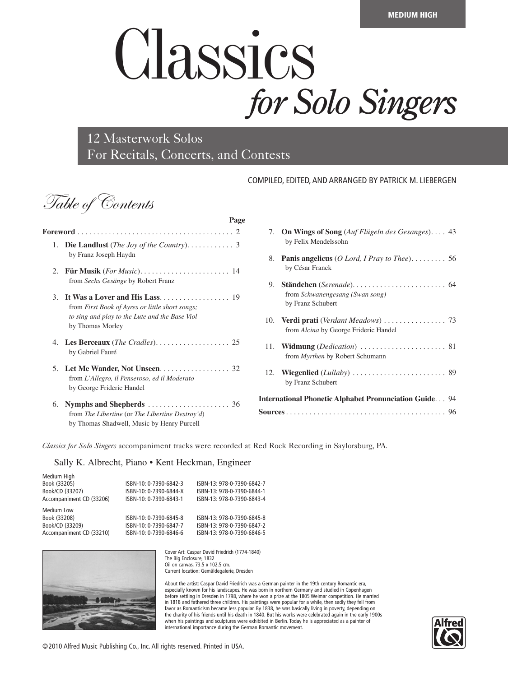## Classics *for Solo Singers*

12 Masterwork Solos For Recitals, Concerts, and Contests

**Page**

## COMPILED, EDITED, AND ARRANGED BY PATRICK M. LIEBERGEN

Table of Contents

| 1.      | <b>Die Landlust</b> ( <i>The Joy of the Country</i> ). $\dots \dots \dots$ 3<br>by Franz Joseph Haydn                 |
|---------|-----------------------------------------------------------------------------------------------------------------------|
| $2_{1}$ | from Sechs Gesänge by Robert Franz                                                                                    |
| 3.      | from First Book of Ayres or little short songs;<br>to sing and play to the Lute and the Base Viol<br>by Thomas Morley |
|         | by Gabriel Fauré                                                                                                      |
| 5.      | Let Me Wander, Not Unseen. 32<br>from L'Allegro, il Penseroso, ed il Moderato<br>by George Frideric Handel            |
| 6.      | from The Libertine (or The Libertine Destroy'd)<br>by Thomas Shadwell, Music by Henry Purcell                         |

|     | 7. On Wings of Song (Auf Flügeln des Gesanges) 43<br>by Felix Mendelssohn |
|-----|---------------------------------------------------------------------------|
| 8.  | by César Franck                                                           |
| 9.  | from Schwanengesang (Swan song)<br>by Franz Schubert                      |
|     | from Alcina by George Frideric Handel                                     |
| 11. | Widmung (Dedication)  81<br>from <i>Myrthen</i> by Robert Schumann        |
|     | by Franz Schubert                                                         |
|     | <b>International Phonetic Alphabet Pronunciation Guide 94</b>             |
|     |                                                                           |

*Classics for Solo Singers* accompaniment tracks were recorded at Red Rock Recording in Saylorsburg, PA.

Sally K. Albrecht, Piano • Kent Heckman, Engineer

| Medium High              |                        |                            |
|--------------------------|------------------------|----------------------------|
| Book (33205)             | ISBN-10: 0-7390-6842-3 | ISBN-13: 978-0-7390-6842-7 |
| Book/CD (33207)          | ISBN-10: 0-7390-6844-X | ISBN-13: 978-0-7390-6844-1 |
| Accompaniment CD (33206) | ISBN-10: 0-7390-6843-1 | ISBN-13: 978-0-7390-6843-4 |
| Medium Low               |                        |                            |
|                          |                        |                            |
| Book (33208)             | ISBN-10: 0-7390-6845-8 | ISBN-13: 978-0-7390-6845-8 |
| Book/CD (33209)          | ISBN-10: 0-7390-6847-7 | ISBN-13: 978-0-7390-6847-2 |



Cover Art: Caspar David Friedrich (1774-1840) The Big Enclosure, 1832 Oil on canvas, 73.5 x 102.5 cm. Current location: Gemäldegalerie, Dresden

About the artist: Caspar David Friedrich was a German painter in the 19th century Romantic era, especially known for his landscapes. He was born in northern Germany and studied in Copenhagen before settling in Dresden in 1798, where he won a prize at the 1805 Weimar competition. He married in 1818 and fathered three children. His paintings were popular for a while, then sadly they fell from favor as Romanticism became less popular. By 1838, he was basically living in poverty, depending on the charity of his friends until his death in 1840. But his works were celebrated again in the early 1900s when his paintings and sculptures were exhibited in Berlin. Today he is appreciated as a painter of international importance during the German Romantic movement.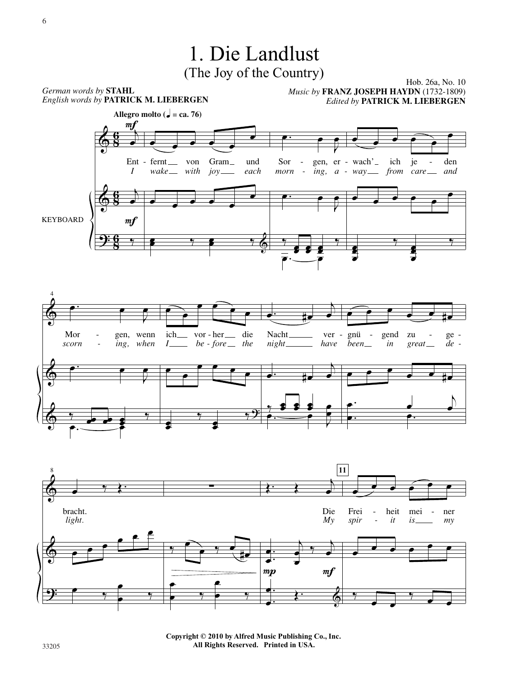

33205 33205